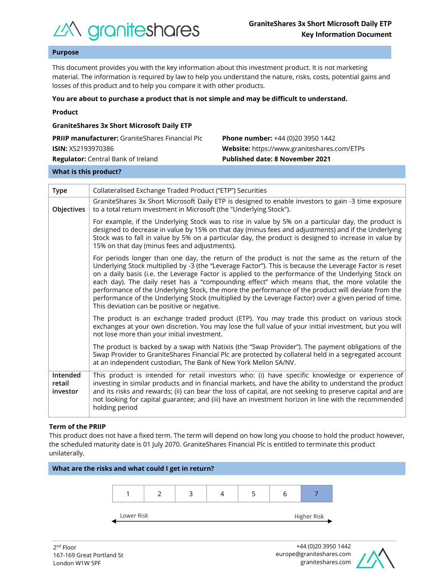

## **Purpose**

This document provides you with the key information about this investment product. It is not marketing material. The information is required by law to help you understand the nature, risks, costs, potential gains and losses of this product and to help you compare it with other products.

#### **You are about to purchase a product that is not simple and may be difficult to understand.**

|  | Product |  |
|--|---------|--|
|  |         |  |

| <b>GraniteShares 3x Short Microsoft Daily ETP</b>      |                                                    |  |  |  |  |
|--------------------------------------------------------|----------------------------------------------------|--|--|--|--|
| <b>PRIIP manufacturer:</b> GraniteShares Financial Plc | <b>Phone number:</b> +44 (0)20 3950 1442           |  |  |  |  |
| <b>ISIN:</b> XS2193970386                              | <b>Website:</b> https://www.graniteshares.com/ETPs |  |  |  |  |
| <b>Regulator:</b> Central Bank of Ireland              | <b>Published date: 8 November 2021</b>             |  |  |  |  |
|                                                        |                                                    |  |  |  |  |

#### **What is this product?**

| <b>Type</b>                    | Collateralised Exchange Traded Product ("ETP") Securities                                                                                                                                                                                                                                                                                                                                                                                                                                                                                                                                                                                                                       |  |  |  |
|--------------------------------|---------------------------------------------------------------------------------------------------------------------------------------------------------------------------------------------------------------------------------------------------------------------------------------------------------------------------------------------------------------------------------------------------------------------------------------------------------------------------------------------------------------------------------------------------------------------------------------------------------------------------------------------------------------------------------|--|--|--|
| Objectives                     | GraniteShares 3x Short Microsoft Daily ETP is designed to enable investors to gain -3 time exposure<br>to a total return investment in Microsoft (the "Underlying Stock").                                                                                                                                                                                                                                                                                                                                                                                                                                                                                                      |  |  |  |
|                                | For example, if the Underlying Stock was to rise in value by 5% on a particular day, the product is<br>designed to decrease in value by 15% on that day (minus fees and adjustments) and if the Underlying<br>Stock was to fall in value by 5% on a particular day, the product is designed to increase in value by<br>15% on that day (minus fees and adjustments).                                                                                                                                                                                                                                                                                                            |  |  |  |
|                                | For periods longer than one day, the return of the product is not the same as the return of the<br>Underlying Stock multiplied by -3 (the "Leverage Factor"). This is because the Leverage Factor is reset<br>on a daily basis (i.e. the Leverage Factor is applied to the performance of the Underlying Stock on<br>each day). The daily reset has a "compounding effect" which means that, the more volatile the<br>performance of the Underlying Stock, the more the performance of the product will deviate from the<br>performance of the Underlying Stock (multiplied by the Leverage Factor) over a given period of time.<br>This deviation can be positive or negative. |  |  |  |
|                                | The product is an exchange traded product (ETP). You may trade this product on various stock<br>exchanges at your own discretion. You may lose the full value of your initial investment, but you will<br>not lose more than your initial investment.                                                                                                                                                                                                                                                                                                                                                                                                                           |  |  |  |
|                                | The product is backed by a swap with Natixis (the "Swap Provider"). The payment obligations of the<br>Swap Provider to GraniteShares Financial Plc are protected by collateral held in a segregated account<br>at an independent custodian, The Bank of New York Mellon SA/NV.                                                                                                                                                                                                                                                                                                                                                                                                  |  |  |  |
| Intended<br>retail<br>investor | This product is intended for retail investors who: (i) have specific knowledge or experience of<br>investing in similar products and in financial markets, and have the ability to understand the product<br>and its risks and rewards; (ii) can bear the loss of capital, are not seeking to preserve capital and are<br>not looking for capital guarantee; and (iii) have an investment horizon in line with the recommended<br>holding period                                                                                                                                                                                                                                |  |  |  |

#### **Term of the PRIIP**

This product does not have a fixed term. The term will depend on how long you choose to hold the product however, the scheduled maturity date is 01 July 2070. GraniteShares Financial Plc is entitled to terminate this product unilaterally.



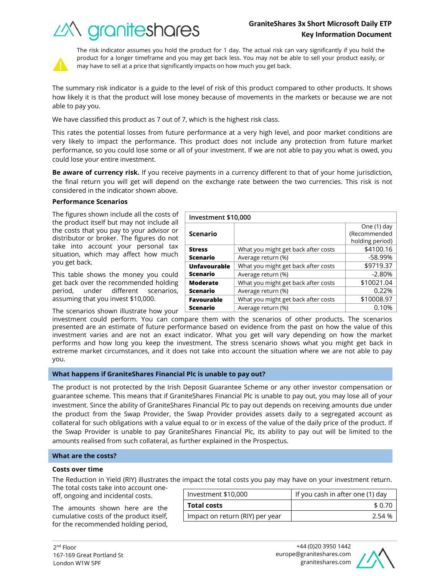# **GraniteShares 3x Short Microsoft Daily ETP Key Information Document**

What you might get back after costs  $\vert$  \$4100.16 Average return (%) and the set of the set of the set of the set of the set of the set of the set of the set of the set of the set of the set of the set of the set of the set of the set of the set of the set of the set of t

What you might get back after costs | \$9719.37 Average return (%) and the set of the set of the set of the set of the set of the set of the set of the set of the set of the set of the set of the set of the set of the set of the set of the set of the set of the set of t

What you might get back after costs | \$10021.04





The risk indicator assumes you hold the product for 1 day. The actual risk can vary significantly if you hold the product for a longer timeframe and you may get back less. You may not be able to sell your product easily, or may have to sell at a price that significantly impacts on how much you get back.

The summary risk indicator is a guide to the level of risk of this product compared to other products. It shows how likely it is that the product will lose money because of movements in the markets or because we are not able to pay you.

We have classified this product as 7 out of 7, which is the highest risk class.

This rates the potential losses from future performance at a very high level, and poor market conditions are very likely to impact the performance. This product does not include any protection from future market performance, so you could lose some or all of your investment. If we are not able to pay you what is owed, you could lose your entire investment.

**Be aware of currency risk.** If you receive payments in a currency different to that of your home jurisdiction, the final return you will get will depend on the exchange rate between the two currencies. This risk is not considered in the indicator shown above.

**Investment \$10,000**

**Scenario**

**Unfavourable Scenario**

**Moderate** 

**Stress Scenario**

## **Performance Scenarios**

The figures shown include all the costs of the product itself but may not include all the costs that you pay to your advisor or distributor or broker. The figures do not take into account your personal tax situation, which may affect how much you get back.

This table shows the money you could get back over the recommended holding period, under different scenarios, assuming that you invest \$10,000.

The scenarios shown illustrate how your

investment could perform. You can compare them with the scenarios of other products. The scenarios presented are an estimate of future performance based on evidence from the past on how the value of this investment varies and are not an exact indicator. What you get will vary depending on how the market performs and how long you keep the investment. The stress scenario shows what you might get back in extreme market circumstances, and it does not take into account the situation where we are not able to pay **Scenario** Average return (%) and the control of the control of  $\sim 0.22\%$ **Favourable Scenario** What you might get back after costs  $\vert$  \$10008.97 Average return (%) and the control of the 0.10%

you.

## **What happens if GraniteShares Financial Plc is unable to pay out?**

The product is not protected by the Irish Deposit Guarantee Scheme or any other investor compensation or guarantee scheme. This means that if GraniteShares Financial Plc is unable to pay out, you may lose all of your investment. Since the ability of GraniteShares Financial Plc to pay out depends on receiving amounts due under the product from the Swap Provider, the Swap Provider provides assets daily to a segregated account as collateral for such obligations with a value equal to or in excess of the value of the daily price of the product. If the Swap Provider is unable to pay GraniteShares Financial Plc, its ability to pay out will be limited to the amounts realised from such collateral, as further explained in the Prospectus.

## **What are the costs?**

#### **Costs over time**

The Reduction in Yield (RIY) illustrates the impact the total costs you pay may have on your investment return.

The total costs take into account oneoff, ongoing and incidental costs.

The amounts shown here are the cumulative costs of the product itself, for the recommended holding period,

|                    | Investment \$10,000             | If you cash in after one (1) day |  |
|--------------------|---------------------------------|----------------------------------|--|
| <b>Total costs</b> |                                 | \$ 0.70                          |  |
|                    | Impact on return (RIY) per year | 2.54 %                           |  |



One (1) day (Recommended holding period)